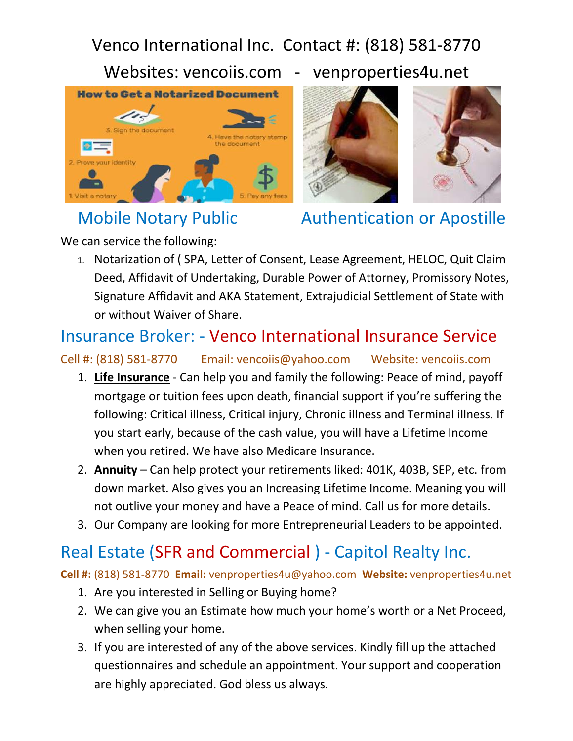# Venco International Inc. Contact #: (818) 581-8770

Websites: vencoiis.com - venproperties4u.net







## Mobile Notary Public **Authentication or Apostille**

We can service the following:

1. Notarization of ( SPA, Letter of Consent, Lease Agreement, HELOC, Quit Claim Deed, Affidavit of Undertaking, Durable Power of Attorney, Promissory Notes, Signature Affidavit and AKA Statement, Extrajudicial Settlement of State with or without Waiver of Share.

## Insurance Broker: - Venco International Insurance Service

Cell #: (818) 581-8770 Email: vencoiis@yahoo.com Website: vencoiis.com

- 1. **Life Insurance** Can help you and family the following: Peace of mind, payoff mortgage or tuition fees upon death, financial support if you're suffering the following: Critical illness, Critical injury, Chronic illness and Terminal illness. If you start early, because of the cash value, you will have a Lifetime Income when you retired. We have also Medicare Insurance.
- 2. **Annuity** Can help protect your retirements liked: 401K, 403B, SEP, etc. from down market. Also gives you an Increasing Lifetime Income. Meaning you will not outlive your money and have a Peace of mind. Call us for more details.
- 3. Our Company are looking for more Entrepreneurial Leaders to be appointed.

# Real Estate (SFR and Commercial ) - Capitol Realty Inc.

**Cell #:** (818) 581-8770 **Email:** venproperties4u@yahoo.com **Website:** venproperties4u.net

- 1. Are you interested in Selling or Buying home?
- 2. We can give you an Estimate how much your home's worth or a Net Proceed, when selling your home.
- 3. If you are interested of any of the above services. Kindly fill up the attached questionnaires and schedule an appointment. Your support and cooperation are highly appreciated. God bless us always.